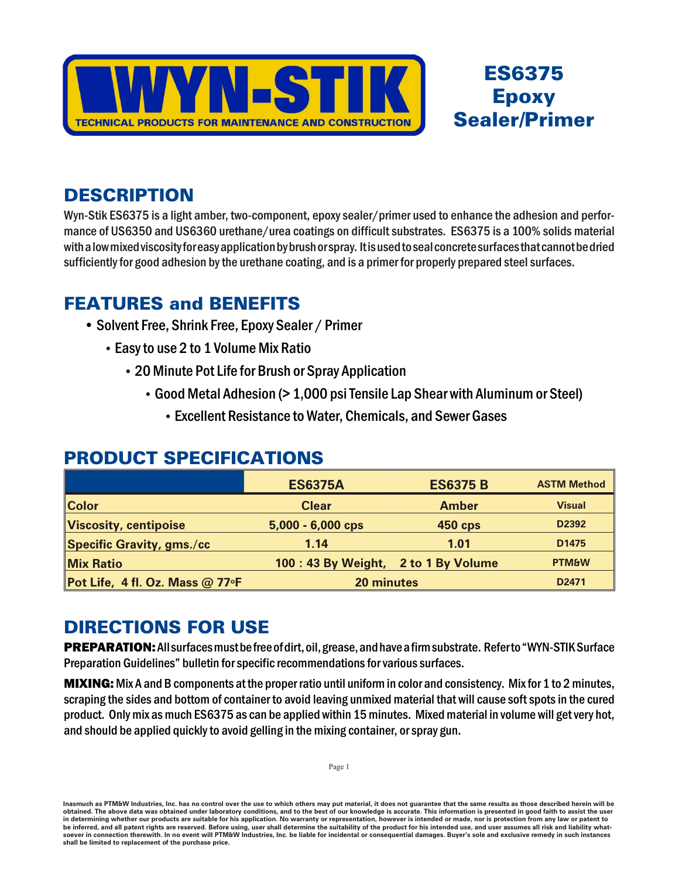

## **ES6375 Epoxy Sealer/Primer**

### **DESCRIPTION**

Wyn-Stik ES6375 is a light amber, two-component, epoxy sealer/primer used to enhance the adhesion and performance of US6350 and US6360 urethane/urea coatings on difficult substrates. ES6375 is a 100% solids material with a low mixed viscosity for easy application by brush or spray. It is used to seal concrete surfaces that cannot be dried sufficiently for good adhesion by the urethane coating, and is a primer for properly prepared steel surfaces.

#### **FEATURES and BENEFITS**

- Solvent Free, Shrink Free, Epoxy Sealer / Primer
	- Easy to use 2 to 1 Volume Mix Ratio
		- 20 Minute Pot Life for Brush or Spray Application
			- Good Metal Adhesion (> 1,000 psi Tensile Lap Shear with Aluminum or Steel)
				- Excellent Resistance to Water, Chemicals, and Sewer Gases

#### **PRODUCT SPECIFICATIONS**

|                                 | <b>ES6375A</b>                     | <b>ES6375 B</b> | <b>ASTM Method</b> |
|---------------------------------|------------------------------------|-----------------|--------------------|
| <b>Color</b>                    | <b>Clear</b>                       | <b>Amber</b>    | <b>Visual</b>      |
| Viscosity, centipoise           | $5,000 - 6,000$ cps                | <b>450 cps</b>  | D2392              |
| Specific Gravity, gms./cc       | 1.14                               | 1.01            | D1475              |
| <b>Mix Ratio</b>                | 100:43 By Weight, 2 to 1 By Volume |                 | <b>PTM&amp;W</b>   |
| Pot Life, 4 fl. Oz. Mass @ 77°F | 20 minutes                         |                 | D <sub>2471</sub>  |

### **DIRECTIONS FOR USE**

PREPARATION: All surfaces must be free of dirt, oil, grease, and have a firm substrate. Refer to "WYN-STIK Surface Preparation Guidelines" bulletin for specific recommendations for various surfaces.

**MIXING:** Mix A and B components at the proper ratio until uniform in color and consistency. Mix for 1 to 2 minutes, scraping the sides and bottom of container to avoid leaving unmixed material that will cause soft spots in the cured product. Only mix as much ES6375 as can be applied within 15 minutes. Mixed material in volume will get very hot, and should be applied quickly to avoid gelling in the mixing container, or spray gun.

Inasmuch as PTM&W Industries, Inc. has no control over the use to which others may put material, it does not guarantee that the same results as those described herein will be obtained. The above data was obtained under laboratory conditions, and to the best of our knowledge is accurate. This information is presented in good faith to assist the user in determining whether our products are suitable for his application. No warranty or representation, however is intended or made, nor is protection from any law or patent to be inferred, and all patent rights are reserved. Before using, user shall determine the suitability of the product for his intended use, and user assumes all risk and liability what-<br>soever in connection therewith. In no e shall be limited to replacement of the purchase price.